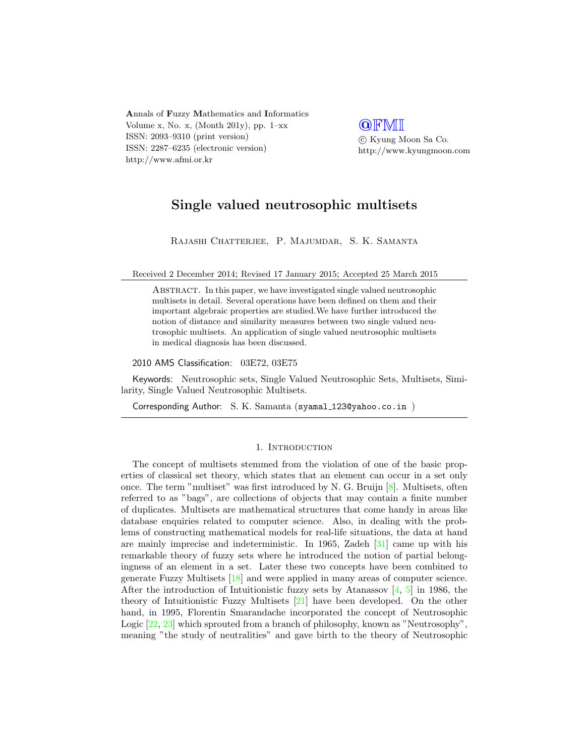Annals of Fuzzy Mathematics and Informatics Volume x, No. x, (Month 201y), pp.  $1-xx$ ISSN: 2093–9310 (print version) ISSN: 2287–6235 (electronic version) http://www.afmi.or.kr

**QFMI**  c Kyung Moon Sa Co. http://www.kyungmoon.com

# Single valued neutrosophic multisets

Rajashi Chatterjee, P. Majumdar, S. K. Samanta

Received 2 December 2014; Revised 17 January 2015; Accepted 25 March 2015

Abstract. In this paper, we have investigated single valued neutrosophic multisets in detail. Several operations have been defined on them and their important algebraic properties are studied.We have further introduced the notion of distance and similarity measures between two single valued neutrosophic multisets. An application of single valued neutrosophic multisets in medical diagnosis has been discussed.

2010 AMS Classification: 03E72, 03E75

Keywords: Neutrosophic sets, Single Valued Neutrosophic Sets, Multisets, Similarity, Single Valued Neutrosophic Multisets.

Corresponding Author: S. K. Samanta (syamal\_123@yahoo.co.in)

## 1. INTRODUCTION

The concept of multisets stemmed from the violation of one of the basic properties of classical set theory, which states that an element can occur in a set only once. The term "multiset" was first introduced by N. G. Bruijn [\[8\]](#page-14-0). Multisets, often referred to as "bags", are collections of objects that may contain a finite number of duplicates. Multisets are mathematical structures that come handy in areas like database enquiries related to computer science. Also, in dealing with the problems of constructing mathematical models for real-life situations, the data at hand are mainly imprecise and indeterministic. In 1965, Zadeh [\[31\]](#page-15-0) came up with his remarkable theory of fuzzy sets where he introduced the notion of partial belongingness of an element in a set. Later these two concepts have been combined to generate Fuzzy Multisets [\[18\]](#page-14-1) and were applied in many areas of computer science. After the introduction of Intuitionistic fuzzy sets by Atanassov  $[4, 5]$  $[4, 5]$  $[4, 5]$  in 1986, the theory of Intuitionistic Fuzzy Multisets [\[21\]](#page-14-4) have been developed. On the other hand, in 1995, Florentin Smarandache incorporated the concept of Neutrosophic Logic [\[22,](#page-14-5) [23\]](#page-14-6) which sprouted from a branch of philosophy, known as "Neutrosophy", meaning "the study of neutralities" and gave birth to the theory of Neutrosophic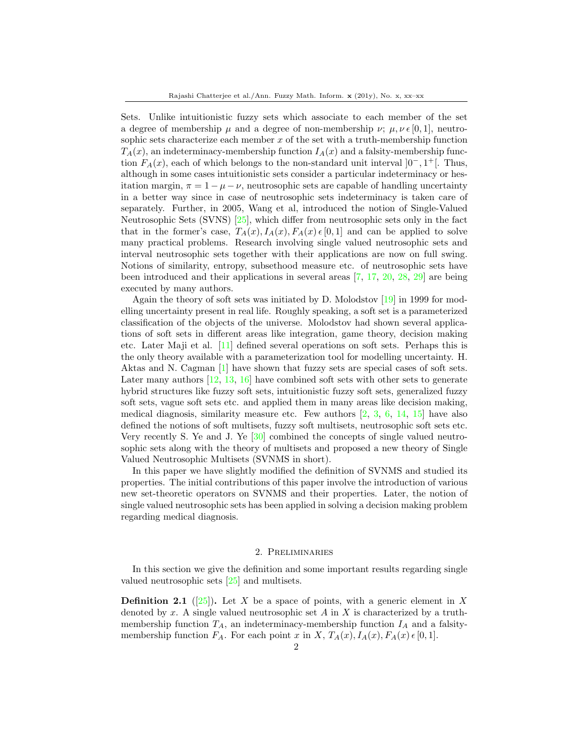Sets. Unlike intuitionistic fuzzy sets which associate to each member of the set a degree of membership  $\mu$  and a degree of non-membership  $\nu$ ;  $\mu$ ,  $\nu \in [0, 1]$ , neutrosophic sets characterize each member  $x$  of the set with a truth-membership function  $T_A(x)$ , an indeterminacy-membership function  $I_A(x)$  and a falsity-membership function  $F_A(x)$ , each of which belongs to the non-standard unit interval  $]0^-$ , 1<sup>+</sup>[. Thus, although in some cases intuitionistic sets consider a particular indeterminacy or hesitation margin,  $\pi = 1 - \mu - \nu$ , neutrosophic sets are capable of handling uncertainty in a better way since in case of neutrosophic sets indeterminacy is taken care of separately. Further, in 2005, Wang et al, introduced the notion of Single-Valued Neutrosophic Sets (SVNS) [\[25\]](#page-15-1), which differ from neutrosophic sets only in the fact that in the former's case,  $T_A(x)$ ,  $I_A(x)$ ,  $F_A(x)$   $\in$  [0, 1] and can be applied to solve many practical problems. Research involving single valued neutrosophic sets and interval neutrosophic sets together with their applications are now on full swing. Notions of similarity, entropy, subsethood measure etc. of neutrosophic sets have been introduced and their applications in several areas [\[7,](#page-14-7) [17,](#page-14-8) [20,](#page-14-9) [28,](#page-15-2) [29\]](#page-15-3) are being executed by many authors.

Again the theory of soft sets was initiated by D. Molodstov  $[19]$  in 1999 for modelling uncertainty present in real life. Roughly speaking, a soft set is a parameterized classification of the objects of the universe. Molodstov had shown several applications of soft sets in different areas like integration, game theory, decision making etc. Later Maji et al. [\[11\]](#page-14-11) defined several operations on soft sets. Perhaps this is the only theory available with a parameterization tool for modelling uncertainty. H. Aktas and N. Cagman [\[1\]](#page-14-12) have shown that fuzzy sets are special cases of soft sets. Later many authors [\[12,](#page-14-13) [13,](#page-14-14) [16\]](#page-14-15) have combined soft sets with other sets to generate hybrid structures like fuzzy soft sets, intuitionistic fuzzy soft sets, generalized fuzzy soft sets, vague soft sets etc. and applied them in many areas like decision making, medical diagnosis, similarity measure etc. Few authors  $[2, 3, 6, 14, 15]$  $[2, 3, 6, 14, 15]$  $[2, 3, 6, 14, 15]$  $[2, 3, 6, 14, 15]$  $[2, 3, 6, 14, 15]$  $[2, 3, 6, 14, 15]$  $[2, 3, 6, 14, 15]$  $[2, 3, 6, 14, 15]$  $[2, 3, 6, 14, 15]$  have also defined the notions of soft multisets, fuzzy soft multisets, neutrosophic soft sets etc. Very recently S. Ye and J. Ye [\[30\]](#page-15-4) combined the concepts of single valued neutrosophic sets along with the theory of multisets and proposed a new theory of Single Valued Neutrosophic Multisets (SVNMS in short).

In this paper we have slightly modified the definition of SVNMS and studied its properties. The initial contributions of this paper involve the introduction of various new set-theoretic operators on SVNMS and their properties. Later, the notion of single valued neutrosophic sets has been applied in solving a decision making problem regarding medical diagnosis.

### 2. Preliminaries

In this section we give the definition and some important results regarding single valued neutrosophic sets [\[25\]](#page-15-1) and multisets.

**Definition 2.1** ([\[25\]](#page-15-1)). Let X be a space of points, with a generic element in X denoted by x. A single valued neutrosophic set  $A$  in  $X$  is characterized by a truthmembership function  $T_A$ , an indeterminacy-membership function  $I_A$  and a falsitymembership function  $F_A$ . For each point x in X,  $T_A(x)$ ,  $I_A(x)$ ,  $F_A(x)$   $\in [0, 1]$ .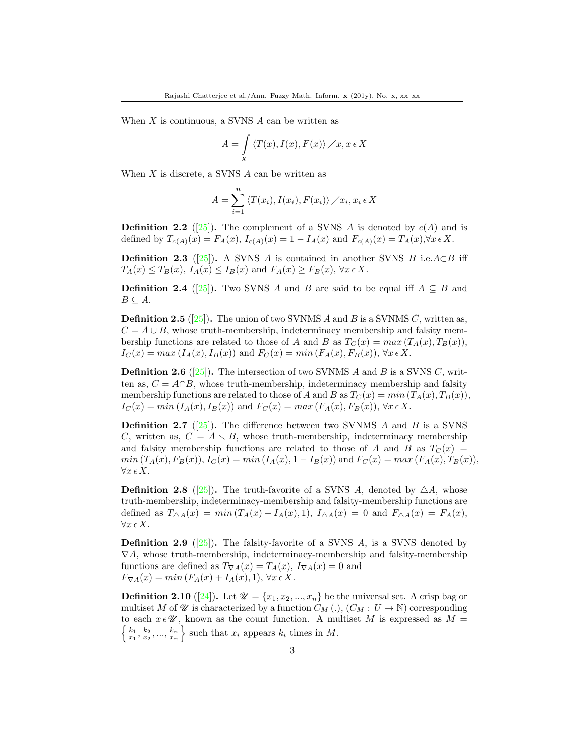When  $X$  is continuous, a SVNS  $A$  can be written as

$$
A = \int\limits_X \langle T(x), I(x), F(x) \rangle \, / x, x \in X
$$

When  $X$  is discrete, a SVNS  $A$  can be written as

$$
A = \sum_{i=1}^{n} \langle T(x_i), I(x_i), F(x_i) \rangle \diagup x_i, x_i \in X
$$

**Definition 2.2** ([\[25\]](#page-15-1)). The complement of a SVNS A is denoted by  $c(A)$  and is defined by  $T_{c(A)}(x) = F_A(x)$ ,  $I_{c(A)}(x) = 1 - I_A(x)$  and  $F_{c(A)}(x) = T_A(x)$ ,  $\forall x \in X$ .

**Definition 2.3** ([\[25\]](#page-15-1)). A SVNS A is contained in another SVNS B i.e.A $\subset$ B iff  $T_A(x) \leq T_B(x)$ ,  $I_A(x) \leq I_B(x)$  and  $F_A(x) \geq F_B(x)$ ,  $\forall x \in X$ .

**Definition 2.4** ([\[25\]](#page-15-1)). Two SVNS A and B are said to be equal iff  $A \subseteq B$  and  $B \subseteq A$ .

**Definition 2.5** ([\[25\]](#page-15-1)). The union of two SVNMS A and B is a SVNMS C, written as,  $C = A \cup B$ , whose truth-membership, indeterminacy membership and falsity membership functions are related to those of A and B as  $T_C(x) = max(T_A(x), T_B(x)),$  $I_C(x) = max (I_A(x), I_B(x))$  and  $F_C(x) = min (F_A(x), F_B(x)), \forall x \in X$ .

**Definition 2.6** ([\[25\]](#page-15-1)). The intersection of two SVNMS A and B is a SVNS C, written as,  $C = A \cap B$ , whose truth-membership, indeterminacy membership and falsity membership functions are related to those of A and B as  $T_C(x) = min(T_A(x), T_B(x)),$  $I_C(x) = min(I_A(x), I_B(x))$  and  $F_C(x) = max(F_A(x), F_B(x)), \forall x \in X$ .

**Definition 2.7** ([\[25\]](#page-15-1)). The difference between two SVNMS A and B is a SVNS C, written as,  $C = A \setminus B$ , whose truth-membership, indeterminacy membership and falsity membership functions are related to those of A and B as  $T_C(x)$  =  $min(T_A(x), F_B(x)), I_C(x) = min(I_A(x), 1 - I_B(x))$  and  $F_C(x) = max(F_A(x), T_B(x)),$  $\forall x \in X.$ 

**Definition 2.8** ([\[25\]](#page-15-1)). The truth-favorite of a SVNS A, denoted by  $\triangle A$ , whose truth-membership, indeterminacy-membership and falsity-membership functions are defined as  $T_{\Delta A}(x) = min(T_A(x) + I_A(x), 1), I_{\Delta A}(x) = 0$  and  $F_{\Delta A}(x) = F_A(x),$  $\forall x \in X.$ 

**Definition 2.9** ([\[25\]](#page-15-1)). The falsity-favorite of a SVNS A, is a SVNS denoted by  $\nabla A$ , whose truth-membership, indeterminacy-membership and falsity-membership functions are defined as  $T_{\nabla A}(x) = T_A(x)$ ,  $I_{\nabla A}(x) = 0$  and  $F_{\nabla A}(x) = min(F_A(x) + I_A(x), 1), \forall x \in X.$ 

**Definition 2.10** ([\[24\]](#page-15-5)). Let  $\mathcal{U} = \{x_1, x_2, ..., x_n\}$  be the universal set. A crisp bag or multiset M of W is characterized by a function  $C_M(.)$ ,  $(C_M : U \to \mathbb{N})$  corresponding to each  $x \in \mathcal{U}$ , known as the count function. A multiset M is expressed as  $M =$  $\left\{\frac{k_1}{x_1}, \frac{k_2}{x_2}, ..., \frac{k_n}{x_n}\right\}$  such that  $x_i$  appears  $k_i$  times in  $M$ .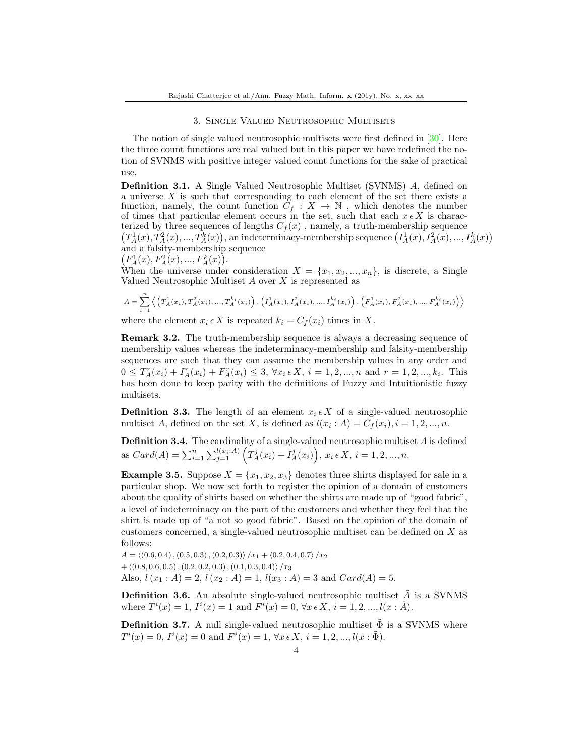### 3. Single Valued Neutrosophic Multisets

The notion of single valued neutrosophic multisets were first defined in [\[30\]](#page-15-4). Here the three count functions are real valued but in this paper we have redefined the notion of SVNMS with positive integer valued count functions for the sake of practical use.

Definition 3.1. A Single Valued Neutrosophic Multiset (SVNMS) A, defined on a universe X is such that corresponding to each element of the set there exists a function, namely, the count function  $C_f : X \to \mathbb{N}$ , which denotes the number of times that particular element occurs in the set, such that each  $x \in X$  is characterized by three sequences of lengths  $C_f(x)$ , namely, a truth-membership sequence  $(T_A^1(x), T_A^2(x),..., T_A^k(x))$ , an indeterminacy-membership sequence  $(I_A^1(x), I_A^2(x),..., I_A^k(x))$ and a falsity-membership sequence

$$
(F_A^1(x), F_A^2(x), ..., F_A^k(x)).
$$

When the universe under consideration  $X = \{x_1, x_2, ..., x_n\}$ , is discrete, a Single Valued Neutrosophic Multiset A over X is represented as

$$
A = \sum_{i=1}^{n} \left\langle \left( T_A^1(x_i), T_A^2(x_i), ..., T_A^{k_i}(x_i) \right), \left( I_A^1(x_i), I_A^2(x_i), ..., I_A^{k_i}(x_i) \right), \left( F_A^1(x_i), F_A^2(x_i), ..., F_A^{k_i}(x_i) \right) \right\rangle
$$

where the element  $x_i \in X$  is repeated  $k_i = C_f(x_i)$  times in X.

Remark 3.2. The truth-membership sequence is always a decreasing sequence of membership values whereas the indeterminacy-membership and falsity-membership sequences are such that they can assume the membership values in any order and  $0 \leq T_A^r(x_i) + I_A^r(x_i) + F_A^r(x_i) \leq 3, \forall x_i \in X, i = 1, 2, ..., n \text{ and } r = 1, 2, ..., k_i.$  This has been done to keep parity with the definitions of Fuzzy and Intuitionistic fuzzy multisets.

**Definition 3.3.** The length of an element  $x_i \in X$  of a single-valued neutrosophic multiset A, defined on the set X, is defined as  $l(x_i : A) = C_f(x_i), i = 1, 2, ..., n$ .

**Definition 3.4.** The cardinality of a single-valued neutrosophic multiset  $A$  is defined as  $Card(A) = \sum_{i=1}^{n} \sum_{j=1}^{l(x_i:A)} \left( T_A^j(x_i) + T_A^j(x_i) \right), x_i \in X, i = 1, 2, ..., n.$ 

**Example 3.5.** Suppose  $X = \{x_1, x_2, x_3\}$  denotes three shirts displayed for sale in a particular shop. We now set forth to register the opinion of a domain of customers about the quality of shirts based on whether the shirts are made up of "good fabric", a level of indeterminacy on the part of the customers and whether they feel that the shirt is made up of "a not so good fabric". Based on the opinion of the domain of customers concerned, a single-valued neutrosophic multiset can be defined on X as follows:

 $A = \langle (0.6, 0.4), (0.5, 0.3), (0.2, 0.3) \rangle /x_1 + \langle 0.2, 0.4, 0.7 \rangle /x_2$  $+ \langle (0.8, 0.6, 0.5), (0.2, 0.2, 0.3), (0.1, 0.3, 0.4) \rangle / x_3$ Also,  $l(x_1 : A) = 2$ ,  $l(x_2 : A) = 1$ ,  $l(x_3 : A) = 3$  and  $Card(A) = 5$ .

**Definition 3.6.** An absolute single-valued neutrosophic multiset  $\tilde{A}$  is a SVNMS where  $T^{i}(x) = 1$ ,  $I^{i}(x) = 1$  and  $F^{i}(x) = 0$ ,  $\forall x \in X$ ,  $i = 1, 2, ..., l(x : \tilde{A})$ .

**Definition 3.7.** A null single-valued neutrosophic multiset  $\Phi$  is a SVNMS where  $T^{i}(x) = 0, I^{i}(x) = 0$  and  $F^{i}(x) = 1, \forall x \in X, i = 1, 2, ..., l(x : \tilde{\Phi}).$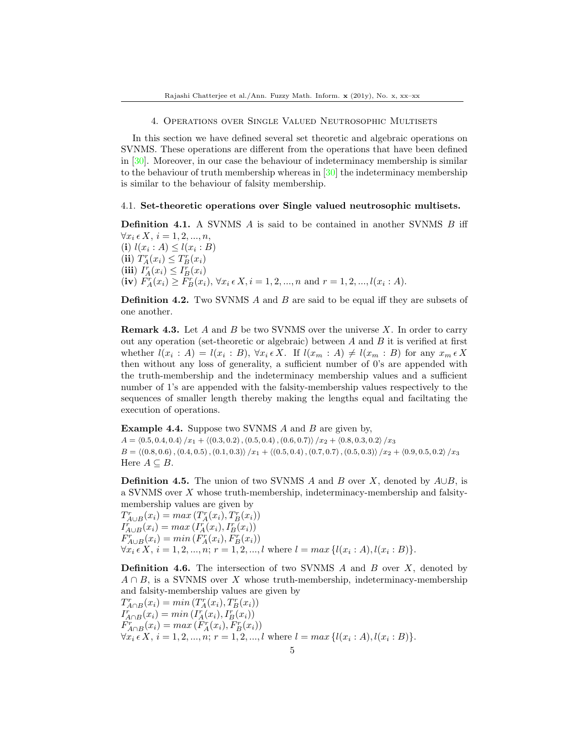4. Operations over Single Valued Neutrosophic Multisets

In this section we have defined several set theoretic and algebraic operations on SVNMS. These operations are different from the operations that have been defined in [\[30\]](#page-15-4). Moreover, in our case the behaviour of indeterminacy membership is similar to the behaviour of truth membership whereas in [\[30\]](#page-15-4) the indeterminacy membership is similar to the behaviour of falsity membership.

#### 4.1. Set-theoretic operations over Single valued neutrosophic multisets.

**Definition 4.1.** A SVNMS  $\vec{A}$  is said to be contained in another SVNMS  $\vec{B}$  iff  $\forall x_i \in X, i = 1, 2, ..., n,$ (i)  $l(x_i : A) \leq l(x_i : B)$ (ii)  $T_A^r(x_i) \leq T_B^r(x_i)$ (iii)  $I_A^r(x_i) \leq I_B^r(x_i)$ (iv)  $\tilde{F}_A^r(x_i) \geq \tilde{F}_B^r(x_i)$ ,  $\forall x_i \in X, i = 1, 2, ..., n$  and  $r = 1, 2, ..., l(x_i : A)$ .

**Definition 4.2.** Two SVNMS A and B are said to be equal iff they are subsets of one another.

**Remark 4.3.** Let A and B be two SVNMS over the universe X. In order to carry out any operation (set-theoretic or algebraic) between A and B it is verified at first whether  $l(x_i : A) = l(x_i : B)$ ,  $\forall x_i \in X$ . If  $l(x_m : A) \neq l(x_m : B)$  for any  $x_m \in X$ then without any loss of generality, a sufficient number of 0's are appended with the truth-membership and the indeterminacy membership values and a sufficient number of 1's are appended with the falsity-membership values respectively to the sequences of smaller length thereby making the lengths equal and faciltating the execution of operations.

**Example 4.4.** Suppose two SVNMS A and B are given by,

 $A = \langle 0.5, 0.4, 0.4 \rangle /x_1 + \langle (0.3, 0.2), (0.5, 0.4), (0.6, 0.7) \rangle /x_2 + \langle 0.8, 0.3, 0.2 \rangle /x_3$  $B = \langle (0.8, 0.6), (0.4, 0.5), (0.1, 0.3) \rangle /x_1 + \langle (0.5, 0.4), (0.7, 0.7), (0.5, 0.3) \rangle /x_2 + \langle 0.9, 0.5, 0.2 \rangle /x_3$ Here  $A \subseteq B$ .

**Definition 4.5.** The union of two SVNMS A and B over X, denoted by  $A \cup B$ , is a SVNMS over  $X$  whose truth-membership, indeterminacy-membership and falsitymembership values are given by

 $T_{A\cup B}^r(x_i) = max(T_A^r(x_i), T_B^r(x_i))$  $I_{A\cup B}^r(x_i) = max(I_A^r(x_i), I_B^r(x_i))$  $F_{A\cup B}^r(x_i) = min(F_A^r(x_i), F_B^r(x_i))$  $\forall x_i \in X, i = 1, 2, ..., n; r = 1, 2, ..., l$  where  $l = max \{l(x_i : A), l(x_i : B)\}.$ 

**Definition 4.6.** The intersection of two SVNMS  $\hat{A}$  and  $\hat{B}$  over  $\hat{X}$ , denoted by  $A \cap B$ , is a SVNMS over X whose truth-membership, indeterminacy-membership and falsity-membership values are given by

 $T_{A\cap B}^r(x_i) = min(T_A^r(x_i), T_B^r(x_i))$  $I_{A\cap B}^{r}(x_{i}) = min(I_{A}^{r}(x_{i}), I_{B}^{r}(x_{i}))$  $F_{A\cap B}^{r}(x_i) = max(F_A^{r}(x_i), F_B^{r}(x_i))$  $\forall x_i \in X, i = 1, 2, ..., n; r = 1, 2, ..., l$  where  $l = max \{l(x_i : A), l(x_i : B)\}.$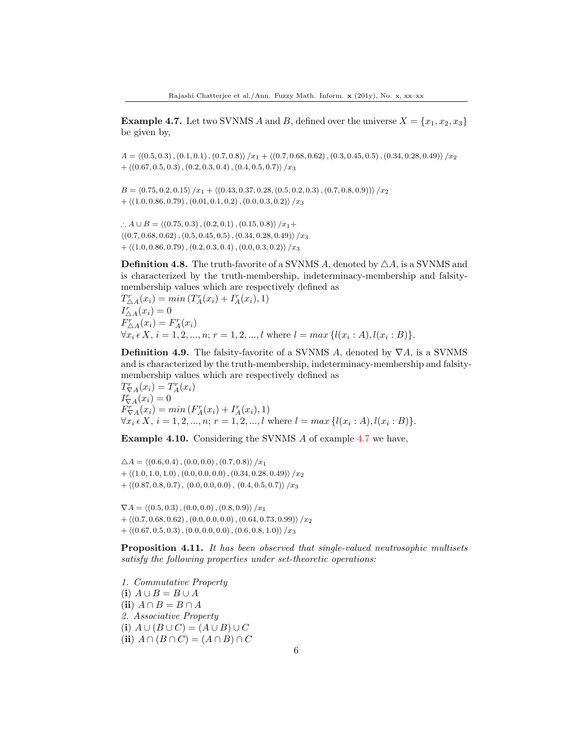<span id="page-5-0"></span>**Example 4.7.** Let two SVNMS A and B, defined over the universe  $X = \{x_1, x_2, x_3\}$ be given by,

 $A = \langle (0.5, 0.3), (0.1, 0.1), (0.7, 0.8)\rangle /x_1 + \langle (0.7, 0.68, 0.62), (0.3, 0.45, 0.5), (0.34, 0.28, 0.49)\rangle /x_2$  $+ \langle (0.67, 0.5, 0.3), (0.2, 0.3, 0.4), (0.4, 0.5, 0.7) \rangle / x_3$ 

 $B = \langle 0.75, 0.2, 0.15 \rangle /x_1 + \langle (0.43, 0.37, 0.28, (0.5, 0.2, 0.3), (0.7, 0.8, 0.9) \rangle /x_2$  $+ \langle (1.0, 0.86, 0.79), (0.01, 0.1, 0.2), (0.0, 0.3, 0.2) \rangle /x_3$ 

∴  $A \cup B = \langle (0.75, 0.3), (0.2, 0.1), (0.15, 0.8) \rangle /x_1+$  $\langle (0.7, 0.68, 0.62), (0.5, 0.45, 0.5), (0.34, 0.28, 0.49) \rangle / x_3$  $+ \langle (1.0, 0.86, 0.79), (0.2, 0.3, 0.4), (0.0, 0.3, 0.2) \rangle / x_3$ 

**Definition 4.8.** The truth-favorite of a SVNMS A, denoted by  $\triangle A$ , is a SVNMS and is characterized by the truth-membership, indeterminacy-membership and falsitymembership values which are respectively defined as

 $T_{\Delta A}^{r}(x_i) = min(T_A^{r}(x_i) + I_A^{r}(x_i), 1)$  $I_{\Delta A}^r(x_i) = 0$  $F_{\Delta A}^r(x_i) = F_A^r(x_i)$  $\forall x_i \in X, i = 1, 2, ..., n; r = 1, 2, ..., l$  where  $l = max \{l(x_i : A), l(x_i : B)\}.$ 

**Definition 4.9.** The falsity-favorite of a SVNMS A, denoted by  $\nabla A$ , is a SVNMS and is characterized by the truth-membership, indeterminacy-membership and falsitymembership values which are respectively defined as

 $T_{\nabla A}^r(x_i) = T_A^r(x_i)$  $I_{\nabla A}^r(x_i) = 0$  $F_{\nabla A}^{r}(x_i) = min(F_A^{r}(x_i) + I_A^{r}(x_i), 1)$  $\forall x_i \in X, i = 1, 2, ..., n; r = 1, 2, ..., l$  where  $l = max \{l(x_i : A), l(x_i : B)\}.$ 

Example 4.10. Considering the SVNMS A of example [4.7](#page-5-0) we have,

 $\triangle A = \langle (0.6, 0.4), (0.0, 0.0), (0.7, 0.8) \rangle /x_1$  $+ \langle (1.0, 1.0, 1.0), (0.0, 0.0, 0.0), (0.34, 0.28, 0.49) \rangle /x_2$  $+ \langle (0.87, 0.8, 0.7), (0.0, 0.0, 0.0), (0.4, 0.5, 0.7) \rangle / x_3$ 

 $\nabla A = \langle (0.5, 0.3), (0.0, 0.0), (0.8, 0.9) \rangle /x_1$  $+ \langle (0.7, 0.68, 0.62), (0.0, 0.0, 0.0), (0.64, 0.73, 0.99) \rangle /x_2$  $+ \langle (0.67, 0.5, 0.3), (0.0, 0.0, 0.0), (0.6, 0.8, 1.0) \rangle / x_3$ 

Proposition 4.11. It has been observed that single-valued neutrosophic multisets satisfy the following properties under set-theoretic operations:

1. Commutative Property (i)  $A \cup B = B \cup A$ (ii)  $A \cap B = B \cap A$ 2. Associative Property (i)  $A \cup (B \cup C) = (A \cup B) \cup C$ (ii)  $A \cap (B \cap C) = (A \cap B) \cap C$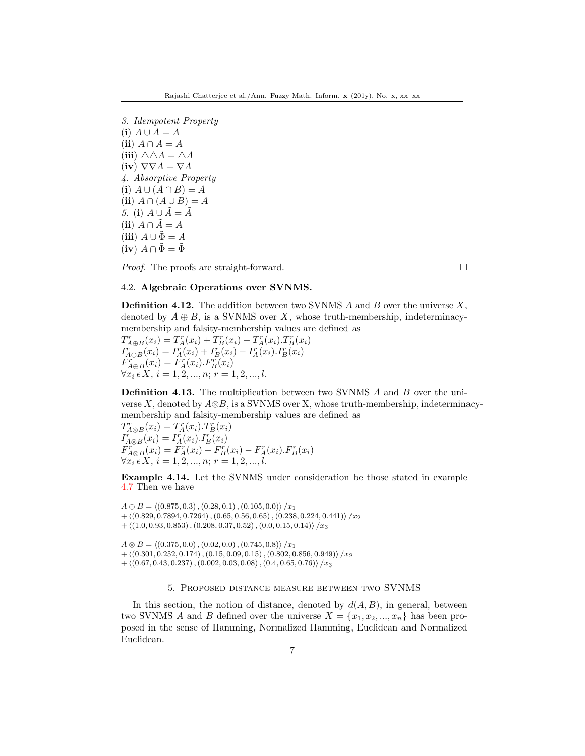3. Idempotent Property (i)  $A \cup A = A$ (ii)  $A \cap A = A$ (iii)  $\triangle \triangle A = \triangle A$ (iv)  $\nabla \nabla A = \nabla A$ 4. Absorptive Property (i)  $A \cup (A \cap B) = A$ (ii)  $A \cap (A \cup B) = A$ 5. (i)  $A \cup \tilde{A} = \tilde{A}$ (ii)  $A \cap \tilde{A} = A$ (iii)  $A \cup \tilde{\Phi} = A$  $(i\mathbf{v})$   $A \cap \tilde{\Phi} = \tilde{\Phi}$ 

*Proof.* The proofs are straight-forward.  $\square$ 

## 4.2. Algebraic Operations over SVNMS.

**Definition 4.12.** The addition between two SVNMS  $A$  and  $B$  over the universe  $X$ , denoted by  $A \oplus B$ , is a SVNMS over X, whose truth-membership, indeterminacymembership and falsity-membership values are defined as

 $T_{A\oplus B}^{r}(x_i) = T_A^{r}(x_i) + T_B^{r}(x_i) - T_A^{r}(x_i).T_B^{r}(x_i)$  $I_{A \oplus B}^{r}(x_i) = I_{A}^{r}(x_i) + I_{B}^{r}(x_i) - I_{A}^{r}(x_i)I_{B}^{r}(x_i)$  $F_{A\oplus B}^r(x_i) = F_A^r(x_i) \cdot F_B^r(x_i)$  $\forall x_i \in X, i = 1, 2, ..., n; r = 1, 2, ..., l.$ 

**Definition 4.13.** The multiplication between two SVNMS A and B over the universe X, denoted by  $A\otimes B$ , is a SVNMS over X, whose truth-membership, indeterminacymembership and falsity-membership values are defined as

 $T_{A\otimes B}^{r}(x_i) = T_A^{r}(x_i) \cdot T_B^{r}(x_i)$  $I_{A\otimes B}^r(x_i) = I_A^r(x_i) . I_B^r(x_i)$  $F_{A\otimes B}^{r}(x_i) = F_A^{r}(x_i) + F_B^{r}(x_i) - F_A^{r}(x_i) F_B^{r}(x_i)$  $\forall x_i \in X, i = 1, 2, ..., n; r = 1, 2, ..., l.$ 

Example 4.14. Let the SVNMS under consideration be those stated in example [4.7](#page-5-0) Then we have

 $A \oplus B = \langle (0.875, 0.3), (0.28, 0.1), (0.105, 0.0) \rangle /x_1$  $+ \langle (0.829, 0.7894, 0.7264), (0.65, 0.56, 0.65), (0.238, 0.224, 0.441) \rangle /x_2$  $+ \langle (1.0, 0.93, 0.853), (0.208, 0.37, 0.52), (0.0, 0.15, 0.14) \rangle / x_3$ 

 $A \otimes B = \langle (0.375, 0.0), (0.02, 0.0), (0.745, 0.8) \rangle /x_1$  $+ \langle (0.301, 0.252, 0.174), (0.15, 0.09, 0.15), (0.802, 0.856, 0.949) \rangle /x_2$  $+ \langle (0.67, 0.43, 0.237), (0.002, 0.03, 0.08), (0.4, 0.65, 0.76) \rangle / x_3$ 

### 5. Proposed distance measure between two SVNMS

In this section, the notion of distance, denoted by  $d(A, B)$ , in general, between two SVNMS A and B defined over the universe  $X = \{x_1, x_2, ..., x_n\}$  has been proposed in the sense of Hamming, Normalized Hamming, Euclidean and Normalized Euclidean.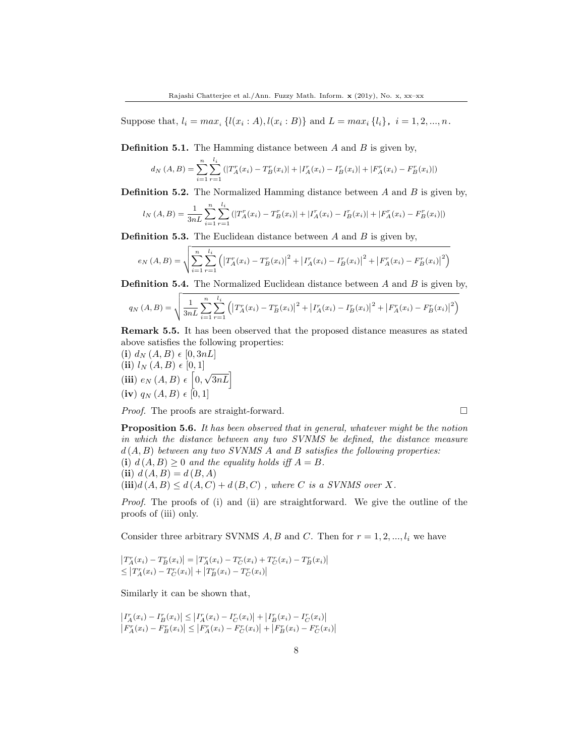Suppose that,  $l_i = max_i \{l(x_i : A), l(x_i : B)\}$  and  $L = max_i \{l_i\}, i = 1, 2, ..., n$ .

**Definition 5.1.** The Hamming distance between  $A$  and  $B$  is given by,

$$
d_N(A, B) = \sum_{i=1}^n \sum_{r=1}^{l_i} (|T_A^r(x_i) - T_B^r(x_i)| + |T_A^r(x_i) - T_B^r(x_i)| + |F_A^r(x_i) - F_B^r(x_i)|)
$$

**Definition 5.2.** The Normalized Hamming distance between  $A$  and  $B$  is given by,

$$
l_N(A, B) = \frac{1}{3nL} \sum_{i=1}^n \sum_{r=1}^{l_i} (|T_A^r(x_i) - T_B^r(x_i)| + |I_A^r(x_i) - I_B^r(x_i)| + |F_A^r(x_i) - F_B^r(x_i)|)
$$

**Definition 5.3.** The Euclidean distance between  $A$  and  $B$  is given by,

$$
e_N(A, B) = \sqrt{\sum_{i=1}^n \sum_{r=1}^{l_i} (|T_A^r(x_i) - T_B^r(x_i)|^2 + |I_A^r(x_i) - I_B^r(x_i)|^2 + |F_A^r(x_i) - F_B^r(x_i)|^2)}
$$

**Definition 5.4.** The Normalized Euclidean distance between  $A$  and  $B$  is given by,

$$
q_N(A, B) = \sqrt{\frac{1}{3nL} \sum_{i=1}^n \sum_{r=1}^{l_i} \left( \left| T_A^r(x_i) - T_B^r(x_i) \right|^2 + \left| T_A^r(x_i) - T_B^r(x_i) \right|^2 + \left| F_A^r(x_i) - F_B^r(x_i) \right|^2 \right)}
$$

Remark 5.5. It has been observed that the proposed distance measures as stated above satisfies the following properties:

(i)  $d_N(A, B) \in [0, 3nL]$ (ii)  $l_N(A, B) \in [0, 1]$ (iii)  $e_N(A, B) \in [0,$  $\sqrt{3nL}$  $(iv) q_N (A, B) \in [0, 1]$ 

*Proof.* The proofs are straight-forward.  $\square$ 

Proposition 5.6. It has been observed that in general, whatever might be the notion in which the distance between any two SVNMS be defined, the distance measure  $d(A, B)$  between any two SVNMS A and B satisfies the following properties: (i)  $d(A, B) \geq 0$  and the equality holds iff  $A = B$ . (ii)  $d(A, B) = d(B, A)$ 

 $(iii)d(A, B) \leq d(A, C) + d(B, C)$ , where C is a SVNMS over X.

Proof. The proofs of (i) and (ii) are straightforward. We give the outline of the proofs of (iii) only.

Consider three arbitrary SVNMS A, B and C. Then for  $r = 1, 2, ..., l_i$  we have

$$
\begin{aligned} \left|T_A^r(x_i) - T_B^r(x_i)\right| &= \left|T_A^r(x_i) - T_C^r(x_i) + T_C^r(x_i) - T_B^r(x_i)\right| \\ &\le \left|T_A^r(x_i) - T_C^r(x_i)\right| + \left|T_B^r(x_i) - T_C^r(x_i)\right| \end{aligned}
$$

Similarly it can be shown that,

$$
\begin{aligned} \left|I_A^r(x_i) - I_B^r(x_i)\right| &\le \left|I_A^r(x_i) - I_C^r(x_i)\right| + \left|I_B^r(x_i) - I_C^r(x_i)\right| \\ \left|F_A^r(x_i) - F_B^r(x_i)\right| &\le \left|F_A^r(x_i) - F_C^r(x_i)\right| + \left|F_B^r(x_i) - F_C^r(x_i)\right| \end{aligned}
$$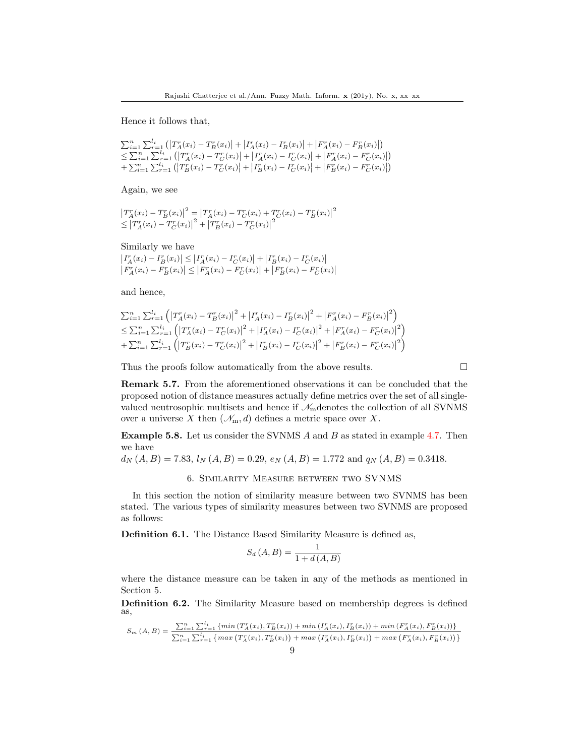Hence it follows that,

$$
\sum_{i=1}^{n} \sum_{r=1}^{l_i} (|T_A^r(x_i) - T_B^r(x_i)| + |T_A^r(x_i) - I_B^r(x_i)| + |F_A^r(x_i) - F_B^r(x_i)|)
$$
\n
$$
\leq \sum_{i=1}^{n} \sum_{r=1}^{l_i} (|T_A^r(x_i) - T_C^r(x_i)| + |I_A^r(x_i) - I_C^r(x_i)| + |F_A^r(x_i) - F_C^r(x_i)|)
$$
\n
$$
+ \sum_{i=1}^{n} \sum_{r=1}^{l_i} (|T_B^r(x_i) - T_C^r(x_i)| + |I_B^r(x_i) - I_C^r(x_i)| + |F_B^r(x_i) - F_C^r(x_i)|)
$$

Again, we see

$$
\begin{aligned} \left|T_A^r(x_i) - T_B^r(x_i)\right|^2 &= \left|T_A^r(x_i) - T_C^r(x_i) + T_C^r(x_i) - T_B^r(x_i)\right|^2 \\ &\le \left|T_A^r(x_i) - T_C^r(x_i)\right|^2 + \left|T_B^r(x_i) - T_C^r(x_i)\right|^2 \end{aligned}
$$

Similarly we have

 $\left|I_A^r(x_i) - I_B^r(x_i)\right| \le \left|I_A^r(x_i) - I_C^r(x_i)\right| + \left|I_B^r(x_i) - I_C^r(x_i)\right|$  $|F_A^r(x_i) - F_B^r(x_i)| \leq |F_A^r(x_i) - F_C^r(x_i)| + |F_B^r(x_i) - F_C^r(x_i)|$ 

and hence,

$$
\sum_{i=1}^{n} \sum_{r=1}^{l_i} \left( \left| T_A^r(x_i) - T_B^r(x_i) \right|^2 + \left| T_A^r(x_i) - T_B^r(x_i) \right|^2 + \left| F_A^r(x_i) - F_B^r(x_i) \right|^2 \right) \n\leq \sum_{i=1}^{n} \sum_{r=1}^{l_i} \left( \left| T_A^r(x_i) - T_C^r(x_i) \right|^2 + \left| T_A^r(x_i) - T_C^r(x_i) \right|^2 + \left| F_A^r(x_i) - F_C^r(x_i) \right|^2 \right) \n+ \sum_{i=1}^{n} \sum_{r=1}^{l_i} \left( \left| T_B^r(x_i) - T_C^r(x_i) \right|^2 + \left| T_B^r(x_i) - T_C^r(x_i) \right|^2 + \left| F_B^r(x_i) - F_C^r(x_i) \right|^2 \right)
$$

Thus the proofs follow automatically from the above results.  $\Box$ 

Remark 5.7. From the aforementioned observations it can be concluded that the proposed notion of distance measures actually define metrics over the set of all singlevalued neutrosophic multisets and hence if  $\mathcal{N}_{\rm m}$  denotes the collection of all SVNMS over a universe X then  $(\mathcal{N}_m, d)$  defines a metric space over X.

<span id="page-8-0"></span>Example 5.8. Let us consider the SVNMS A and B as stated in example [4.7.](#page-5-0) Then we have

 $d_N(A, B) = 7.83$ ,  $l_N(A, B) = 0.29$ ,  $e_N(A, B) = 1.772$  and  $q_N(A, B) = 0.3418$ .

6. Similarity Measure between two SVNMS

In this section the notion of similarity measure between two SVNMS has been stated. The various types of similarity measures between two SVNMS are proposed as follows:

Definition 6.1. The Distance Based Similarity Measure is defined as,

$$
S_d(A, B) = \frac{1}{1 + d(A, B)}
$$

where the distance measure can be taken in any of the methods as mentioned in Section 5.

Definition 6.2. The Similarity Measure based on membership degrees is defined as,

$$
S_m(A, B) = \frac{\sum_{i=1}^{n} \sum_{r=1}^{l_i} \{min(T_A^T(x_i), T_B^T(x_i)) + min(T_A^T(x_i), T_B^T(x_i)) + min(F_A^T(x_i), F_B^T(x_i))\}}{\sum_{i=1}^{n} \sum_{r=1}^{l_i} \{max(T_A^T(x_i), T_B^T(x_i)) + max(T_A^T(x_i), T_B^T(x_i)) + max(F_A^T(x_i), F_B^T(x_i))\}}
$$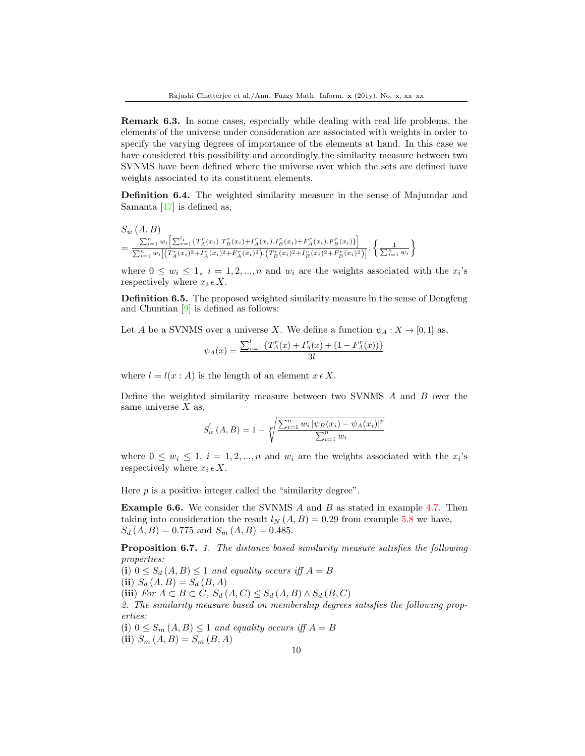Remark 6.3. In some cases, especially while dealing with real life problems, the elements of the universe under consideration are associated with weights in order to specify the varying degrees of importance of the elements at hand. In this case we have considered this possibility and accordingly the similarity measure between two SVNMS have been defined where the universe over which the sets are defined have weights associated to its constituent elements.

Definition 6.4. The weighted similarity measure in the sense of Majumdar and Samanta [\[17\]](#page-14-8) is defined as,

$$
S_w(A, B)
$$
  
= 
$$
\frac{\sum_{i=1}^n w_i \left[ \sum_{r=1}^{l_i} \{ T_A^r(x_i).T_B^r(x_i) + T_A^r(x_i).T_B^r(x_i) + F_A^r(x_i).F_B^r(x_i) \} \right]}{\sum_{i=1}^n w_i \left[ \left( T_A^r(x_i)^2 + T_A^r(x_i)^2 + F_A^r(x_i)^2 \right) \cdot \left( T_B^r(x_i)^2 + T_B^r(x_i)^2 + F_B^r(x_i)^2 \right) \right]} \cdot \left\{ \frac{1}{\sum_{i=1}^n w_i} \right\}
$$

where  $0 \leq w_i \leq 1$ ,  $i = 1, 2, ..., n$  and  $w_i$  are the weights associated with the  $x_i$ 's respectively where  $x_i \in X$ .

Definition 6.5. The proposed weighted similarity measure in the sense of Dengfeng and Chuntian  $[9]$  is defined as follows:

Let A be a SVNMS over a universe X. We define a function  $\psi_A : X \to [0,1]$  as,

$$
\psi_A(x) = \frac{\sum_{r=1}^{l} \{T_A^r(x) + I_A^r(x) + (1 - F_A^r(x))\}}{3l}
$$

where  $l = l(x : A)$  is the length of an element  $x \in X$ .

Define the weighted similarity measure between two SVNMS A and B over the same universe  $X$  as,

$$
S_w'(A, B) = 1 - \sqrt[p]{\frac{\sum_{i=1}^n w_i |\psi_B(x_i) - \psi_A(x_i)|^p}{\sum_{i=1}^n w_i}}
$$

where  $0 \leq w_i \leq 1, i = 1, 2, ..., n$  and  $w_i$  are the weights associated with the  $x_i$ 's respectively where  $x_i \in X$ .

Here  $p$  is a positive integer called the "similarity degree".

**Example 6.6.** We consider the SVNMS A and B as stated in example [4.7.](#page-5-0) Then taking into consideration the result  $l_N(A, B) = 0.29$  from example [5.8](#page-8-0) we have,  $S_d(A, B) = 0.775$  and  $S_m(A, B) = 0.485$ .

Proposition 6.7. 1. The distance based similarity measure satisfies the following properties:

(i)  $0 \leq S_d(A, B) \leq 1$  and equality occurs iff  $A = B$ 

(ii)  $S_d(A, B) = S_d(B, A)$ 

(iii) For  $A \subset B \subset C$ ,  $S_d(A, C) \leq S_d(A, B) \wedge S_d(B, C)$ 

2. The similarity measure based on membership degrees satisfies the following properties:

(i)  $0 \leq S_m(A, B) \leq 1$  and equality occurs iff  $A = B$ 

(ii)  $S_m(A, B) = S_m(B, A)$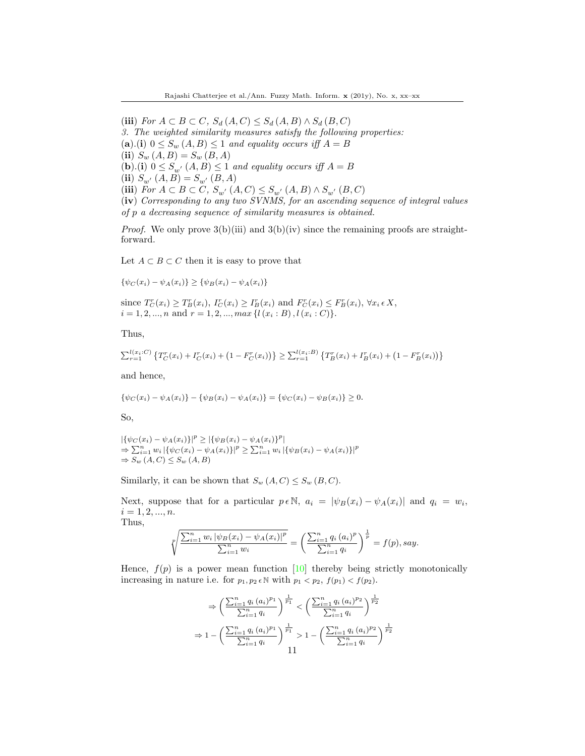(iii) For  $A \subset B \subset C$ ,  $S_d(A, C) \leq S_d(A, B) \wedge S_d(B, C)$ 

3. The weighted similarity measures satisfy the following properties:

(a).(i)  $0 \le S_w(A, B) \le 1$  and equality occurs iff  $A = B$ 

(ii)  $S_w(A, B) = S_w(B, A)$ 

(b).(i)  $0 \leq S_{w'}(A, B) \leq 1$  and equality occurs iff  $A = B$ 

(ii)  $S_{w'}(A, B) = S_{w'}(B, A)$ 

(iii) For  $A \subset B \subset C$ ,  $S_{w'}(A, C) \leq S_{w'}(A, B) \wedge S_{w'}(B, C)$ 

(iv) Corresponding to any two SVNMS, for an ascending sequence of integral values of p a decreasing sequence of similarity measures is obtained.

*Proof.* We only prove  $3(b)(iii)$  and  $3(b)(iv)$  since the remaining proofs are straightforward.

Let  $A \subset B \subset C$  then it is easy to prove that

 $\{\psi_C(x_i) - \psi_A(x_i)\} \geq \{\psi_B(x_i) - \psi_A(x_i)\}$ 

since  $T_C^r(x_i) \geq T_B^r(x_i)$ ,  $I_C^r(x_i) \geq I_B^r(x_i)$  and  $F_C^r(x_i) \leq F_B^r(x_i)$ ,  $\forall x_i \in X$ ,  $i = 1, 2, ..., n$  and  $r = 1, 2, ..., max\{l(x_i : B), l(x_i : C)\}.$ 

Thus,

$$
\sum_{r=1}^{l(x_i:C)} \left\{ T_C^r(x_i) + I_C^r(x_i) + (1 - F_C^r(x_i)) \right\} \geq \sum_{r=1}^{l(x_i: B)} \left\{ T_B^r(x_i) + I_B^r(x_i) + (1 - F_B^r(x_i)) \right\}
$$

and hence,

$$
\{\psi_C(x_i) - \psi_A(x_i)\} - \{\psi_B(x_i) - \psi_A(x_i)\} = \{\psi_C(x_i) - \psi_B(x_i)\} \ge 0.
$$

So,

 $|\{\psi_C(x_i) - \psi_A(x_i)\}|^p \geq |\{\psi_B(x_i) - \psi_A(x_i)\}|^p$  $\Rightarrow \sum_{i=1}^{n} w_i |\{\psi_C(x_i) - \psi_A(x_i)\}|^p \ge \sum_{i=1}^{n} w_i |\{\psi_B(x_i) - \psi_A(x_i)\}|^p$  $\Rightarrow S_w(A, C) \leq S_w(A, B)$ 

Similarly, it can be shown that  $S_w(A, C) \leq S_w(B, C)$ .

Next, suppose that for a particular  $p \in \mathbb{N}$ ,  $a_i = |\psi_B(x_i) - \psi_A(x_i)|$  and  $q_i = w_i$ ,  $i = 1, 2, ..., n$ . Thus,

$$
\sqrt[p]{\frac{\sum_{i=1}^{n} w_i |\psi_B(x_i) - \psi_A(x_i)|^p}{\sum_{i=1}^{n} w_i}} = \left(\frac{\sum_{i=1}^{n} q_i (a_i)^p}{\sum_{i=1}^{n} q_i}\right)^{\frac{1}{p}} = f(p), say.
$$

Hence,  $f(p)$  is a power mean function [\[10\]](#page-14-22) thereby being strictly monotonically increasing in nature i.e. for  $p_1, p_2 \in \mathbb{N}$  with  $p_1 < p_2$ ,  $f(p_1) < f(p_2)$ .

$$
\Rightarrow \left(\frac{\sum_{i=1}^{n} q_i (a_i)^{p_1}}{\sum_{i=1}^{n} q_i}\right)^{\frac{1}{p_1}} < \left(\frac{\sum_{i=1}^{n} q_i (a_i)^{p_2}}{\sum_{i=1}^{n} q_i}\right)^{\frac{1}{p_2}}
$$

$$
\Rightarrow 1 - \left(\frac{\sum_{i=1}^{n} q_i (a_i)^{p_1}}{\sum_{i=1}^{n} q_i}\right)^{\frac{1}{p_1}} > 1 - \left(\frac{\sum_{i=1}^{n} q_i (a_i)^{p_2}}{\sum_{i=1}^{n} q_i}\right)^{\frac{1}{p_2}}
$$
11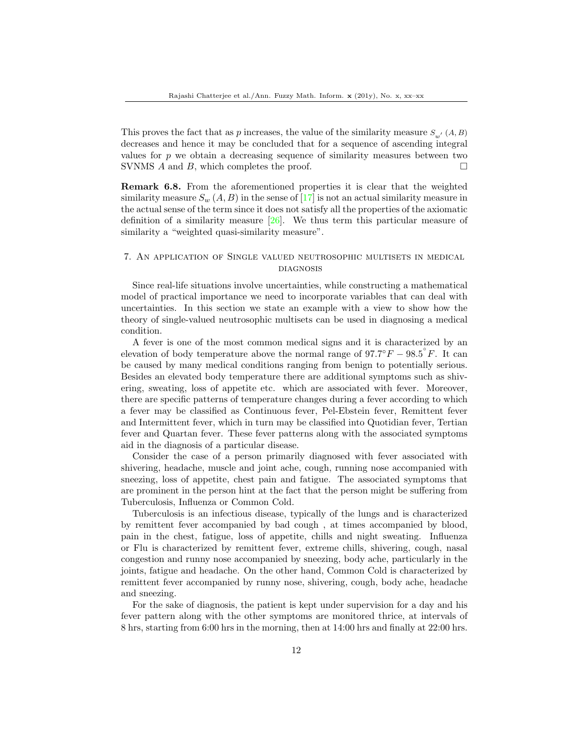This proves the fact that as  $p$  increases, the value of the similarity measure  $S_{w'}(A, B)$ decreases and hence it may be concluded that for a sequence of ascending integral values for  $p$  we obtain a decreasing sequence of similarity measures between two SVNMS A and B, which completes the proof.  $\square$ 

Remark 6.8. From the aforementioned properties it is clear that the weighted similarity measure  $S_w(A, B)$  in the sense of [\[17\]](#page-14-8) is not an actual similarity measure in the actual sense of the term since it does not satisfy all the properties of the axiomatic definition of a similarity measure  $[26]$ . We thus term this particular measure of similarity a "weighted quasi-similarity measure".

# 7. An application of Single valued neutrosophic multisets in medical **DIAGNOSIS**

Since real-life situations involve uncertainties, while constructing a mathematical model of practical importance we need to incorporate variables that can deal with uncertainties. In this section we state an example with a view to show how the theory of single-valued neutrosophic multisets can be used in diagnosing a medical condition.

A fever is one of the most common medical signs and it is characterized by an elevation of body temperature above the normal range of  $97.7^{\circ}F - 98.5^{\circ}F$ . It can be caused by many medical conditions ranging from benign to potentially serious. Besides an elevated body temperature there are additional symptoms such as shivering, sweating, loss of appetite etc. which are associated with fever. Moreover, there are specific patterns of temperature changes during a fever according to which a fever may be classified as Continuous fever, Pel-Ebstein fever, Remittent fever and Intermittent fever, which in turn may be classified into Quotidian fever, Tertian fever and Quartan fever. These fever patterns along with the associated symptoms aid in the diagnosis of a particular disease.

Consider the case of a person primarily diagnosed with fever associated with shivering, headache, muscle and joint ache, cough, running nose accompanied with sneezing, loss of appetite, chest pain and fatigue. The associated symptoms that are prominent in the person hint at the fact that the person might be suffering from Tuberculosis, Influenza or Common Cold.

Tuberculosis is an infectious disease, typically of the lungs and is characterized by remittent fever accompanied by bad cough , at times accompanied by blood, pain in the chest, fatigue, loss of appetite, chills and night sweating. Influenza or Flu is characterized by remittent fever, extreme chills, shivering, cough, nasal congestion and runny nose accompanied by sneezing, body ache, particularly in the joints, fatigue and headache. On the other hand, Common Cold is characterized by remittent fever accompanied by runny nose, shivering, cough, body ache, headache and sneezing.

For the sake of diagnosis, the patient is kept under supervision for a day and his fever pattern along with the other symptoms are monitored thrice, at intervals of 8 hrs, starting from 6:00 hrs in the morning, then at 14:00 hrs and finally at 22:00 hrs.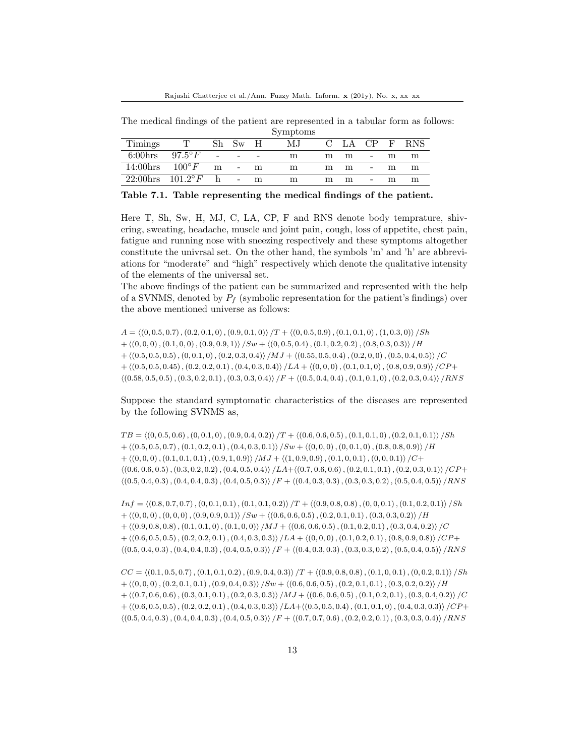The medical findings of the patient are represented in a tabular form as follows: Symptoms

|                   |                  |                          |                          |   | $v_{J}$ in promo |               |      |                          |              |            |
|-------------------|------------------|--------------------------|--------------------------|---|------------------|---------------|------|--------------------------|--------------|------------|
| Timings           |                  | Sh                       | Sw H                     |   | M.J              | $\mathcal{C}$ | LA – | CP                       | $\mathbf{F}$ | <b>RNS</b> |
| $6:00 \text{hrs}$ | $97.5^{\circ}F$  | $\overline{\phantom{a}}$ | $\overline{\phantom{a}}$ |   | m                | m             | m    |                          | m            | m          |
| 14:00hrs          | $100^{\circ} F$  | m                        | $\overline{\phantom{a}}$ | m | m                | m             | m    | -                        | m            | m          |
| $22:00$ hrs       | $101.2^{\circ}F$ | h                        | $\overline{\phantom{a}}$ | m | m                | m             | m    | $\overline{\phantom{a}}$ | m            | m          |

Table 7.1. Table representing the medical findings of the patient.

Here T, Sh, Sw, H, MJ, C, LA, CP, F and RNS denote body temprature, shivering, sweating, headache, muscle and joint pain, cough, loss of appetite, chest pain, fatigue and running nose with sneezing respectively and these symptoms altogether constitute the univrsal set. On the other hand, the symbols 'm' and 'h' are abbreviations for "moderate" and "high" respectively which denote the qualitative intensity of the elements of the universal set.

The above findings of the patient can be summarized and represented with the help of a SVNMS, denoted by  $P_f$  (symbolic representation for the patient's findings) over the above mentioned universe as follows:

 $A = \langle (0, 0.5, 0.7), (0.2, 0.1, 0), (0.9, 0.1, 0) \rangle /T + \langle (0, 0.5, 0.9), (0.1, 0.1, 0), (1, 0.3, 0) \rangle /Sh$  $+ \langle (0, 0, 0), (0.1, 0, 0), (0.9, 0.9, 1) \rangle / Sw + \langle (0, 0.5, 0.4), (0.1, 0.2, 0.2), (0.8, 0.3, 0.3) \rangle /H$  $+ \langle (0.5, 0.5, 0.5), (0, 0.1, 0), (0.2, 0.3, 0.4) \rangle / MJ + \langle (0.55, 0.5, 0.4), (0.2, 0, 0), (0.5, 0.4, 0.5) \rangle /C$  $+ \langle (0.5, 0.5, 0.45), (0.2, 0.2, 0.1), (0.4, 0.3, 0.4) \rangle /LA + \langle (0, 0, 0), (0.1, 0.1, 0), (0.8, 0.9, 0.9) \rangle /CP +$  $\langle (0.58, 0.5, 0.5), (0.3, 0.2, 0.1), (0.3, 0.3, 0.4) \rangle / F + \langle (0.5, 0.4, 0.4), (0.1, 0.1, 0), (0.2, 0.3, 0.4) \rangle / RNS$ 

Suppose the standard symptomatic characteristics of the diseases are represented by the following SVNMS as,

 $TB = \langle (0, 0.5, 0.6), (0, 0.1, 0), (0.9, 0.4, 0.2) \rangle /T + \langle (0.6, 0.6, 0.5), (0.1, 0.1, 0), (0.2, 0.1, 0.1) \rangle /Sh$  $+ \langle (0.5, 0.5, 0.7), (0.1, 0.2, 0.1), (0.4, 0.3, 0.1) \rangle / Sw + \langle (0, 0, 0), (0, 0.1, 0), (0.8, 0.8, 0.9) \rangle /H$  $+ \langle (0, 0, 0), (0.1, 0.1, 0.1), (0.9, 1, 0.9) \rangle / MJ + \langle (1, 0.9, 0.9), (0.1, 0, 0.1), (0, 0, 0.1) \rangle /C+$  $\langle (0.6, 0.6, 0.5), (0.3, 0.2, 0.2), (0.4, 0.5, 0.4) \rangle /LA + \langle (0.7, 0.6, 0.6), (0.2, 0.1, 0.1), (0.2, 0.3, 0.1) \rangle /CP +$  $\langle (0.5, 0.4, 0.3), (0.4, 0.4, 0.3), (0.4, 0.5, 0.3) \rangle / F + \langle (0.4, 0.3, 0.3), (0.3, 0.3, 0.2), (0.5, 0.4, 0.5) \rangle / RNS$ 

 $Inf = \langle (0.8, 0.7, 0.7), (0, 0.1, 0.1), (0.1, 0.1, 0.2) \rangle /T + \langle (0.9, 0.8, 0.8), (0, 0, 0.1), (0.1, 0.2, 0.1) \rangle /Sh$  $+ \langle (0, 0, 0), (0, 0, 0), (0.9, 0.9, 0.1) \rangle /Sw + \langle (0.6, 0.6, 0.5), (0.2, 0.1, 0.1), (0.3, 0.3, 0.2) \rangle /H$  $+ \langle (0.9, 0.8, 0.8), (0.1, 0.1, 0), (0.1, 0, 0) \rangle / MJ + \langle (0.6, 0.6, 0.5), (0.1, 0.2, 0.1), (0.3, 0.4, 0.2) \rangle /C$  $+ \langle (0.6, 0.5, 0.5), (0.2, 0.2, 0.1), (0.4, 0.3, 0.3) \rangle /LA + \langle (0, 0, 0), (0.1, 0.2, 0.1), (0.8, 0.9, 0.8) \rangle /CP +$  $\langle (0.5, 0.4, 0.3), (0.4, 0.4, 0.3), (0.4, 0.5, 0.3) \rangle / F + \langle (0.4, 0.3, 0.3), (0.3, 0.3, 0.2), (0.5, 0.4, 0.5) \rangle / RNS$ 

 $CC = \langle (0.1, 0.5, 0.7), (0.1, 0.1, 0.2), (0.9, 0.4, 0.3) \rangle /T + \langle (0.9, 0.8, 0.8), (0.1, 0, 0.1), (0, 0.2, 0.1) \rangle /Sh$  $+ \langle (0, 0, 0), (0.2, 0.1, 0.1), (0.9, 0.4, 0.3) \rangle / Sw + \langle (0.6, 0.6, 0.5), (0.2, 0.1, 0.1), (0.3, 0.2, 0.2) \rangle /H$  $+ \langle (0.7, 0.6, 0.6), (0.3, 0.1, 0.1), (0.2, 0.3, 0.3) \rangle / MJ + \langle (0.6, 0.6, 0.5), (0.1, 0.2, 0.1), (0.3, 0.4, 0.2) \rangle /C$  $+ \langle (0.6, 0.5, 0.5), (0.2, 0.2, 0.1), (0.4, 0.3, 0.3) \rangle /LA + \langle (0.5, 0.5, 0.4), (0.1, 0.1, 0), (0.4, 0.3, 0.3) \rangle /CP +$  $\langle (0.5, 0.4, 0.3), (0.4, 0.4, 0.3), (0.4, 0.5, 0.3) \rangle / F + \langle (0.7, 0.7, 0.6), (0.2, 0.2, 0.1), (0.3, 0.3, 0.4) \rangle / RNS$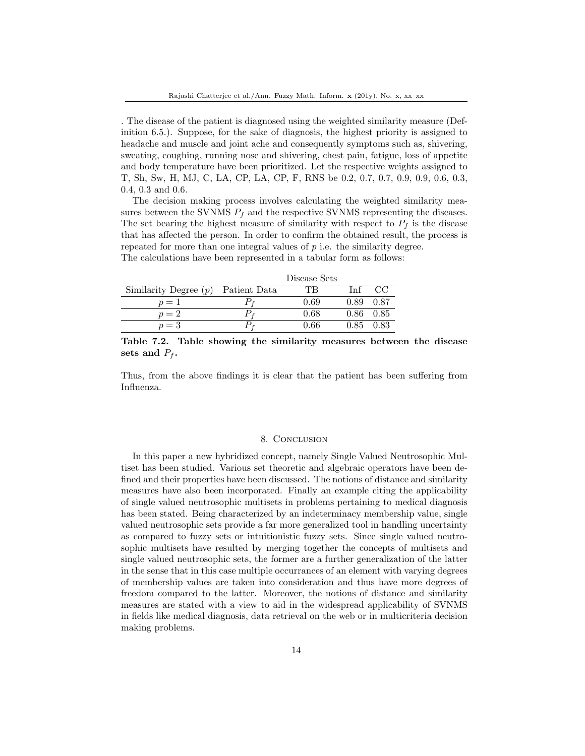. The disease of the patient is diagnosed using the weighted similarity measure (Definition 6.5.). Suppose, for the sake of diagnosis, the highest priority is assigned to headache and muscle and joint ache and consequently symptoms such as, shivering, sweating, coughing, running nose and shivering, chest pain, fatigue, loss of appetite and body temperature have been prioritized. Let the respective weights assigned to T, Sh, Sw, H, MJ, C, LA, CP, LA, CP, F, RNS be 0.2, 0.7, 0.7, 0.9, 0.9, 0.6, 0.3, 0.4, 0.3 and 0.6.

The decision making process involves calculating the weighted similarity measures between the SVNMS  $P_f$  and the respective SVNMS representing the diseases. The set bearing the highest measure of similarity with respect to  $P_f$  is the disease that has affected the person. In order to confirm the obtained result, the process is repeated for more than one integral values of  $p$  i.e. the similarity degree. The calculations have been represented in a tabular form as follows:

|                         |              | Disease Sets |               |      |
|-------------------------|--------------|--------------|---------------|------|
| Similarity Degree $(p)$ | Patient Data | TВ           | Inf           | CC   |
| $p=1$                   |              | 0.69         | 0.89          | 0.87 |
| $p=2$                   | $P_f$        | 0.68         | $0.86$ $0.85$ |      |
| $p=3$                   |              | 0.66         | 0.85          | 0.83 |

Table 7.2. Table showing the similarity measures between the disease sets and  $P_f$ .

Thus, from the above findings it is clear that the patient has been suffering from Influenza.

#### 8. Conclusion

In this paper a new hybridized concept, namely Single Valued Neutrosophic Multiset has been studied. Various set theoretic and algebraic operators have been defined and their properties have been discussed. The notions of distance and similarity measures have also been incorporated. Finally an example citing the applicability of single valued neutrosophic multisets in problems pertaining to medical diagnosis has been stated. Being characterized by an indeterminacy membership value, single valued neutrosophic sets provide a far more generalized tool in handling uncertainty as compared to fuzzy sets or intuitionistic fuzzy sets. Since single valued neutrosophic multisets have resulted by merging together the concepts of multisets and single valued neutrosophic sets, the former are a further generalization of the latter in the sense that in this case multiple occurrances of an element with varying degrees of membership values are taken into consideration and thus have more degrees of freedom compared to the latter. Moreover, the notions of distance and similarity measures are stated with a view to aid in the widespread applicability of SVNMS in fields like medical diagnosis, data retrieval on the web or in multicriteria decision making problems.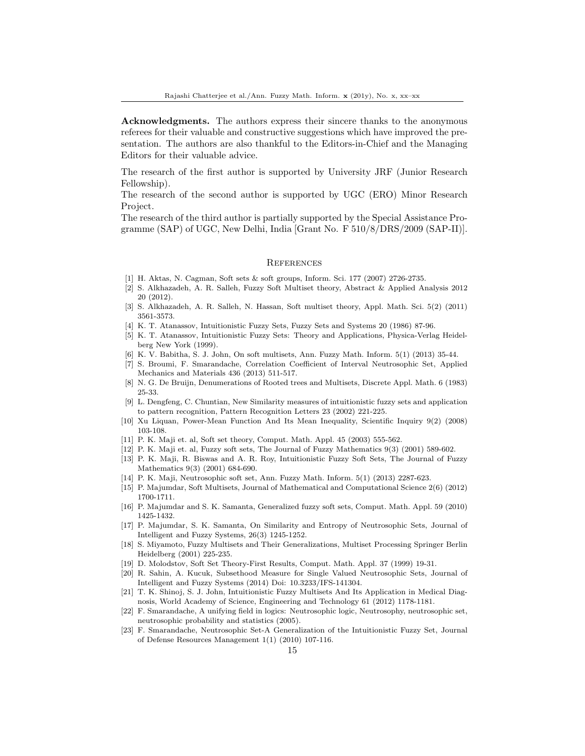Acknowledgments. The authors express their sincere thanks to the anonymous referees for their valuable and constructive suggestions which have improved the presentation. The authors are also thankful to the Editors-in-Chief and the Managing Editors for their valuable advice.

The research of the first author is supported by University JRF (Junior Research Fellowship).

The research of the second author is supported by UGC (ERO) Minor Research Project.

The research of the third author is partially supported by the Special Assistance Programme (SAP) of UGC, New Delhi, India [Grant No. F 510/8/DRS/2009 (SAP-II)].

#### **REFERENCES**

- <span id="page-14-12"></span>[1] H. Aktas, N. Cagman, Soft sets & soft groups, Inform. Sci. 177 (2007) 2726-2735.
- <span id="page-14-16"></span>[2] S. Alkhazadeh, A. R. Salleh, Fuzzy Soft Multiset theory, Abstract & Applied Analysis 2012 20 (2012).
- <span id="page-14-17"></span>[3] S. Alkhazadeh, A. R. Salleh, N. Hassan, Soft multiset theory, Appl. Math. Sci. 5(2) (2011) 3561-3573.
- <span id="page-14-2"></span>[4] K. T. Atanassov, Intuitionistic Fuzzy Sets, Fuzzy Sets and Systems 20 (1986) 87-96.
- <span id="page-14-3"></span>[5] K. T. Atanassov, Intuitionistic Fuzzy Sets: Theory and Applications, Physica-Verlag Heidelberg New York (1999).
- <span id="page-14-18"></span>[6] K. V. Babitha, S. J. John, On soft multisets, Ann. Fuzzy Math. Inform. 5(1) (2013) 35-44.
- <span id="page-14-7"></span>[7] S. Broumi, F. Smarandache, Correlation Coefficient of Interval Neutrosophic Set, Applied Mechanics and Materials 436 (2013) 511-517.
- <span id="page-14-0"></span>[8] N. G. De Bruijn, Denumerations of Rooted trees and Multisets, Discrete Appl. Math. 6 (1983) 25-33.
- <span id="page-14-21"></span>[9] L. Dengfeng, C. Chuntian, New Similarity measures of intuitionistic fuzzy sets and application to pattern recognition, Pattern Recognition Letters 23 (2002) 221-225.
- <span id="page-14-22"></span>[10] Xu Liquan, Power-Mean Function And Its Mean Inequality, Scientific Inquiry 9(2) (2008) 103-108.
- <span id="page-14-11"></span>[11] P. K. Maji et. al, Soft set theory, Comput. Math. Appl. 45 (2003) 555-562.
- <span id="page-14-13"></span>[12] P. K. Maji et. al, Fuzzy soft sets, The Journal of Fuzzy Mathematics 9(3) (2001) 589-602.
- <span id="page-14-14"></span>[13] P. K. Maji, R. Biswas and A. R. Roy, Intuitionistic Fuzzy Soft Sets, The Journal of Fuzzy Mathematics 9(3) (2001) 684-690.
- <span id="page-14-19"></span>[14] P. K. Maji, Neutrosophic soft set, Ann. Fuzzy Math. Inform. 5(1) (2013) 2287-623.
- <span id="page-14-20"></span>[15] P. Majumdar, Soft Multisets, Journal of Mathematical and Computational Science 2(6) (2012) 1700-1711.
- <span id="page-14-15"></span>[16] P. Majumdar and S. K. Samanta, Generalized fuzzy soft sets, Comput. Math. Appl. 59 (2010) 1425-1432.
- <span id="page-14-8"></span>[17] P. Majumdar, S. K. Samanta, On Similarity and Entropy of Neutrosophic Sets, Journal of Intelligent and Fuzzy Systems, 26(3) 1245-1252.
- <span id="page-14-1"></span>[18] S. Miyamoto, Fuzzy Multisets and Their Generalizations, Multiset Processing Springer Berlin Heidelberg (2001) 225-235.
- <span id="page-14-10"></span>[19] D. Molodstov, Soft Set Theory-First Results, Comput. Math. Appl. 37 (1999) 19-31.
- <span id="page-14-9"></span>[20] R. Sahin, A. Kucuk, Subsethood Measure for Single Valued Neutrosophic Sets, Journal of Intelligent and Fuzzy Systems (2014) Doi: 10.3233/IFS-141304.
- <span id="page-14-4"></span>[21] T. K. Shinoj, S. J. John, Intuitionistic Fuzzy Multisets And Its Application in Medical Diagnosis, World Academy of Science, Engineering and Technology 61 (2012) 1178-1181.
- <span id="page-14-5"></span>[22] F. Smarandache, A unifying field in logics: Neutrosophic logic, Neutrosophy, neutrosophic set, neutrosophic probability and statistics (2005).
- <span id="page-14-6"></span>[23] F. Smarandache, Neutrosophic Set-A Generalization of the Intuitionistic Fuzzy Set, Journal of Defense Resources Management 1(1) (2010) 107-116.